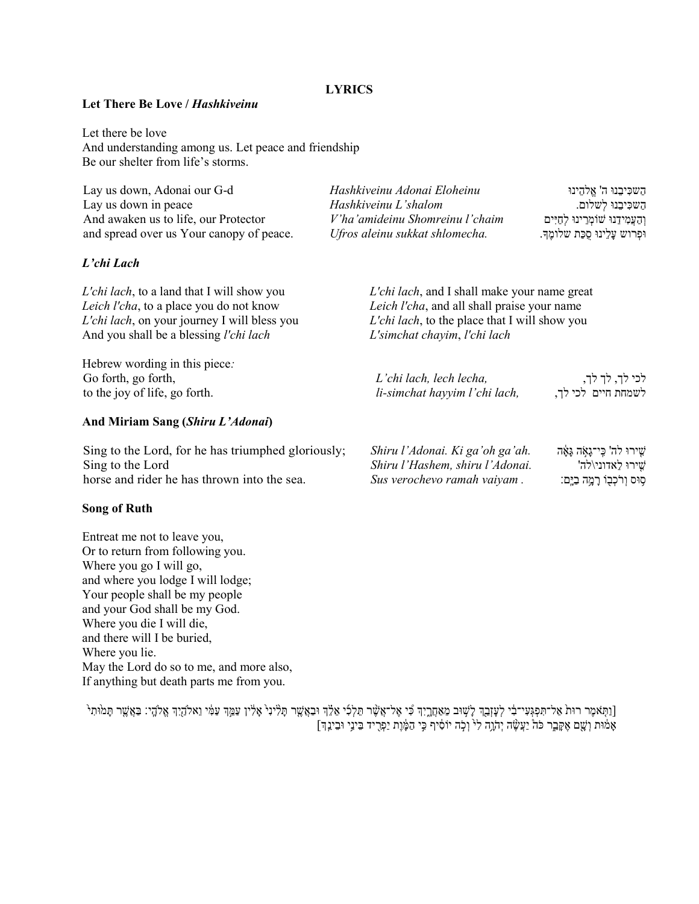## **LYRICS**

## Let There Be Love / Hashkiveinu

Let there be love And understanding among us. Let peace and friendship Be our shelter from life's storms.

| Lay us down, Adonai our G-d<br>Lay us down in peace<br>And awaken us to life, our Protector<br>and spread over us Your canopy of peace.                                                        | Hashkiveinu Adonai Eloheinu<br>Hashkiveinu L'shalom<br>V'ha'amideinu Shomreinu l'chaim<br>Ufros aleinu sukkat shlomecha. | השכִּיבֵנוּ ה' אֱלְהֵינוּ<br>השכִּיבֵנוּ לִשלום.<br>והעמידנו שומרינו לחיים<br>וּפְרוש עַלֵינוּ סַכַּת שלומֶךָ.                                               |  |
|------------------------------------------------------------------------------------------------------------------------------------------------------------------------------------------------|--------------------------------------------------------------------------------------------------------------------------|--------------------------------------------------------------------------------------------------------------------------------------------------------------|--|
| L'chi Lach                                                                                                                                                                                     |                                                                                                                          |                                                                                                                                                              |  |
| <i>L'chi lach</i> , to a land that I will show you<br>Leich l'cha, to a place you do not know<br>L'chi lach, on your journey I will bless you<br>And you shall be a blessing <i>l'chi lach</i> | L'simchat chayim, l'chi lach                                                                                             | <i>L'chi lach</i> , and I shall make your name great<br>Leich l'cha, and all shall praise your name<br><i>L'chi lach</i> , to the place that I will show you |  |
| Hebrew wording in this piece:<br>Go forth, go forth,<br>to the joy of life, go forth.                                                                                                          | L'chi lach, lech lecha,<br>li-simchat hayyim l'chi lach,                                                                 | לכי לך, לך לך,<br>לשמחת חיים לכי לד.                                                                                                                         |  |
| And Miriam Sang (Shiru L'Adonai)                                                                                                                                                               |                                                                                                                          |                                                                                                                                                              |  |
| Sing to the Lord, for he has triumphed gloriously;<br>Sing to the Lord<br>horse and rider he has thrown into the sea.                                                                          | Shiru l'Adonai. Ki ga'oh ga'ah.<br>Shiru l'Hashem, shiru l'Adonai.<br>Sus verochevo ramah vaiyam.                        | ּשִׁירוּ לה' כִּי־גָאָה גָּאָה<br>שִׁירוּ לַאדוני\לה'<br>ּסְוּס וְרֹכְבָוֹ רָמֶה בַיֶּם:                                                                     |  |

## Song of Ruth

Entreat me not to leave you, Or to return from following you. Where you go I will go, and where you lodge I will lodge; Your people shall be my people and your God shall be my God. Where you die I will die, and there will I be buried, Where you lie. May the Lord do so to me, and more also, If anything but death parts me from you.

[וַתִּאמֶר רוּת אַל־תִּפְגְעִי־בִׂי לְעָזְבֵךְ לָשׁוּב מֵאַחֲרֵיִךְ כִּי אֶל־אֲשֶׁר תֵּלְלִי אֵלֹדְ וּבַאֲשֶׁר תָּלִינִי  $\zeta$ אֶל־הָי׃ ַבְאֲשֶׁר תָּמוּתִי ָאֲמֹוּת וְשָׁם אֶקֶּבֶר כֹּה ֿיַעֲשֶׂה יְהֹוֶה לִי וְכְה יוֹסִיף כִּי הַמֶּּוֶת יַפְרִיד בֵּינֵי וּבֵינֵ**ן**ּ ]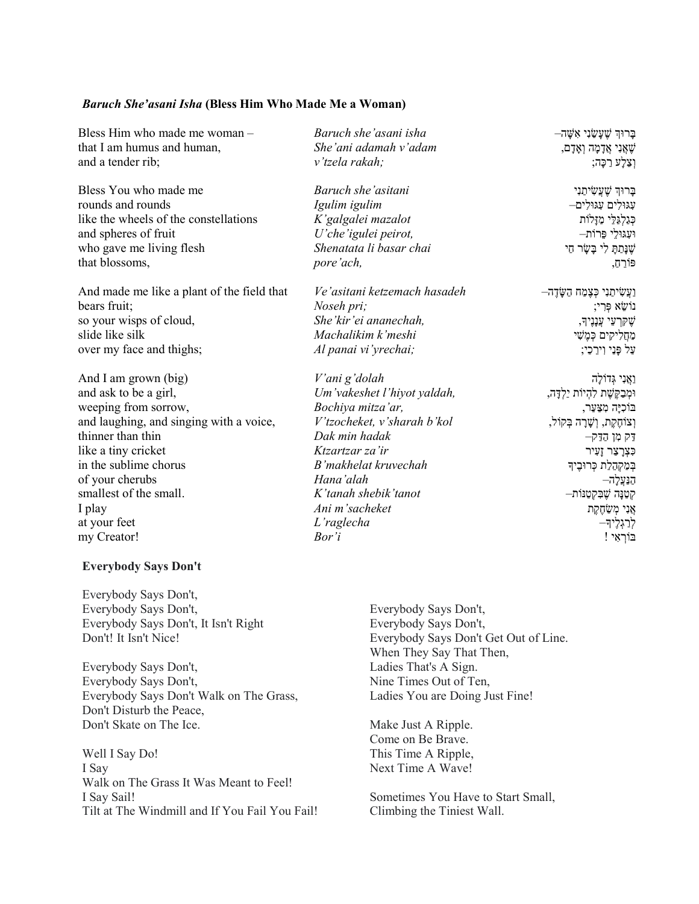## Baruch She'asani Isha (Bless Him Who Made Me a Woman)

| Bless Him who made me woman -<br>that I am humus and human,<br>and a tender rib; | Baruch she'asani isha<br>She'ani adamah v'adam<br>v'tzela rakah; | בָרוּךְ שֶׁעֲשַׂנִי אָשָׁה—<br>שָׁאֲנִי אֲדָמָה וְאָדָם,<br>וְצֵלָעׁ רַכָּה; |
|----------------------------------------------------------------------------------|------------------------------------------------------------------|------------------------------------------------------------------------------|
| Bless You who made me                                                            | Baruch she'asitani                                               | ּבָרוּךְ שֶׁעֲשִׂיתַנִי                                                      |
| rounds and rounds                                                                | Igulim igulim                                                    | עגוּלים עגוּלים                                                              |
| like the wheels of the constellations                                            | K'galgalei mazalot                                               | כְּגַלְגַּלֵי מַזָּלוֹת                                                      |
| and spheres of fruit                                                             | U'che'igulei peirot,                                             | וּעָגּוּלֵי פֵרוֹת–                                                          |
| who gave me living flesh                                                         | Shenatata li basar chai                                          | שָׁנָּתַתָּ לִי בָּשָׂר חַי                                                  |
| that blossoms,                                                                   | pore'ach,                                                        | פּוֹרֵהָ,                                                                    |
| And made me like a plant of the field that                                       | Ve'asitani ketzemach hasadeh                                     | וַעֲשִׂיתַנִי כְּצָמַח הַשָּׂדֶה–                                            |
| bears fruit;                                                                     | Noseh pri;                                                       | נוׄשֵׂא פִּרִי;                                                              |
| so your wisps of cloud,                                                          | She'kir'ei ananechah,                                            | אָקּרְעֵי עֲנָנֶיךָ,                                                         |
| slide like silk                                                                  | Machalikim k'meshi                                               | מַחֲלִיקים כְּמֶשִׁי                                                         |
| over my face and thighs;                                                         | Al panai vi'yrechai;                                             | עַל פָּנֵי וִירֵכֵי;                                                         |
| And I am grown (big)                                                             | V'ani g'dolah                                                    | ואֲנִי גְּדוֹלָה                                                             |
| and ask to be a girl,                                                            | Um'vakeshet l'hiyot yaldah,                                      | וּמְבַקֶּשֶׁת לְהָיוֹת יַלְדָּה,                                             |
| weeping from sorrow,                                                             | Bochiya mitza'ar,                                                | בּוֹכִיָּה מִצַּעַר,                                                         |
| and laughing, and singing with a voice,                                          | V'tzocheket, v'sharah b'kol                                      | וְצוֹחֶקֶת, וְשָׁרָה בְּקוֹל,                                                |
| thinner than thin                                                                | Dak min hadak                                                    | דק מן הדק                                                                    |
| like a tiny cricket                                                              | Ktzartzar za'ir                                                  | כִּצְרָצַר זָעִיר                                                            |
| in the sublime chorus                                                            | B' makhelat kruvechah                                            | בְּמַקְהֵלַת כְּרוּבֶיךָ                                                     |
| of your cherubs                                                                  | Hana'alah                                                        | הנּעֵלָה–                                                                    |
| smallest of the small.                                                           | K'tanah shebik'tanot                                             | קטַנָּה שֶׁבִּקְטַנּוֹת–                                                     |
| I play                                                                           | Ani m'sacheket                                                   | אֲנִי מְשַׂחֶקֶת                                                             |
| at your feet                                                                     | L'raglecha                                                       | לְרַגְלֶידִּ–                                                                |
| my Creator!                                                                      | Bor'i                                                            | בּוֹרְאִי !                                                                  |
|                                                                                  |                                                                  |                                                                              |

# Everybody Says Don't

Everybody Says Don't, Everybody Says Don't, Everybody Says Don't, It Isn't Right Don't! It Isn't Nice!

Everybody Says Don't, Everybody Says Don't, Everybody Says Don't Walk on The Grass, Don't Disturb the Peace, Don't Skate on The Ice.

Well I Say Do! I Say Walk on The Grass It Was Meant to Feel! I Say Sail! Tilt at The Windmill and If You Fail You Fail!

Everybody Says Don't, Everybody Says Don't, Everybody Says Don't Get Out of Line. When They Say That Then, Ladies That's A Sign. Nine Times Out of Ten, Ladies You are Doing Just Fine!

Make Just A Ripple. Come on Be Brave. This Time A Ripple, Next Time A Wave!

Sometimes You Have to Start Small, Climbing the Tiniest Wall.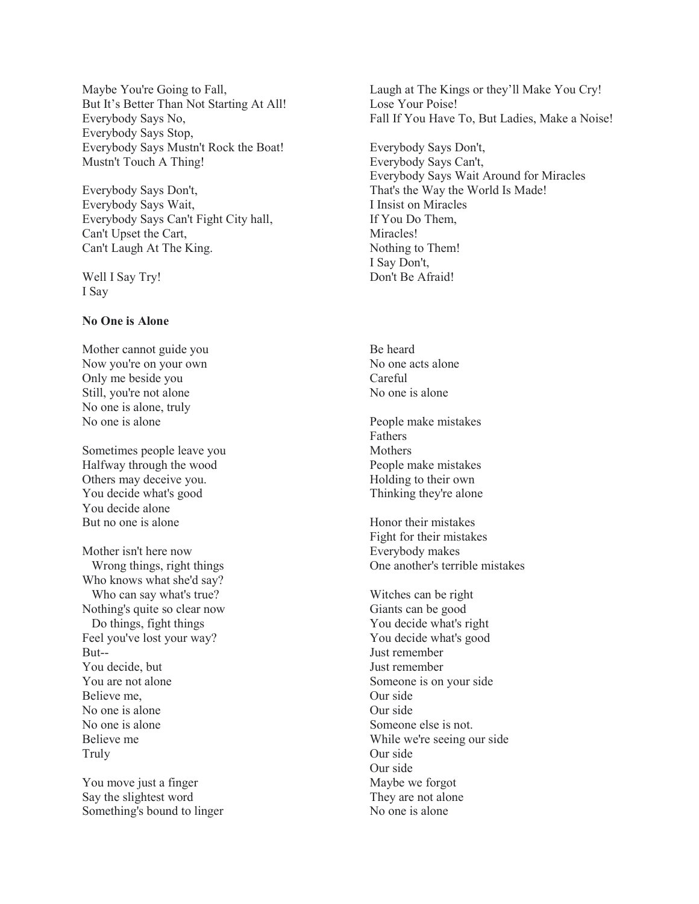Maybe You're Going to Fall, But It's Better Than Not Starting At All! Everybody Says No, Everybody Says Stop, Everybody Says Mustn't Rock the Boat! Mustn't Touch A Thing!

Everybody Says Don't, Everybody Says Wait, Everybody Says Can't Fight City hall, Can't Upset the Cart, Can't Laugh At The King.

Well I Say Try! I Say

## No One is Alone

Mother cannot guide you Now you're on your own Only me beside you Still, you're not alone No one is alone, truly No one is alone

Sometimes people leave you Halfway through the wood Others may deceive you. You decide what's good You decide alone But no one is alone

Mother isn't here now Wrong things, right things Who knows what she'd say? Who can say what's true? Nothing's quite so clear now Do things, fight things Feel you've lost your way? But-- You decide, but You are not alone Believe me, No one is alone No one is alone Believe me Truly

You move just a finger Say the slightest word Something's bound to linger Laugh at The Kings or they'll Make You Cry! Lose Your Poise! Fall If You Have To, But Ladies, Make a Noise!

Everybody Says Don't, Everybody Says Can't, Everybody Says Wait Around for Miracles That's the Way the World Is Made! I Insist on Miracles If You Do Them, Miracles! Nothing to Them! I Say Don't, Don't Be Afraid!

Be heard No one acts alone Careful No one is alone

People make mistakes Fathers **Mothers** People make mistakes Holding to their own Thinking they're alone

Honor their mistakes Fight for their mistakes Everybody makes One another's terrible mistakes

Witches can be right Giants can be good You decide what's right You decide what's good Just remember Just remember Someone is on your side Our side Our side Someone else is not. While we're seeing our side Our side Our side Maybe we forgot They are not alone No one is alone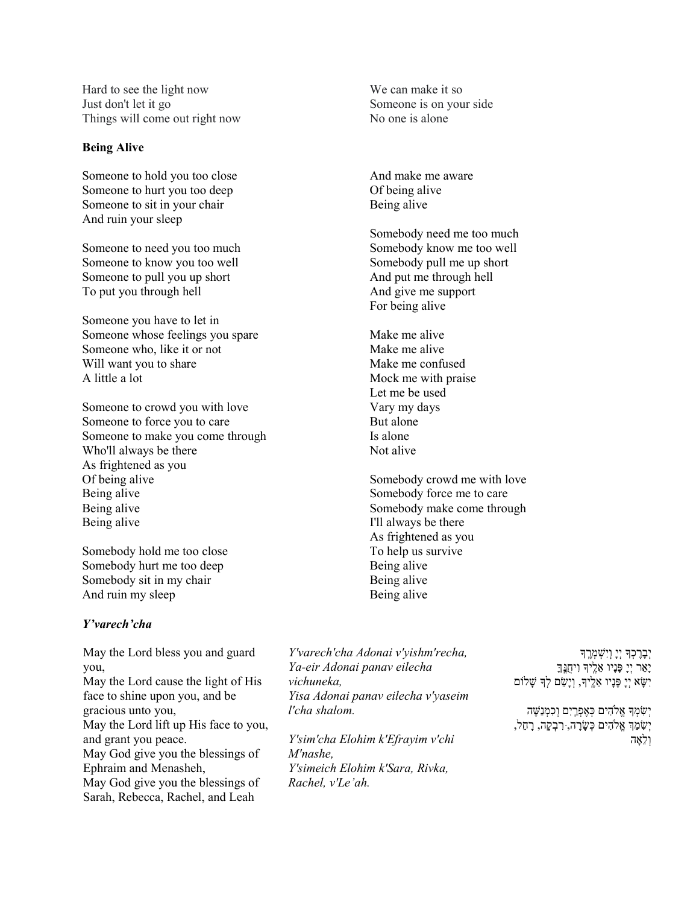Hard to see the light now Just don't let it go Things will come out right now

#### Being Alive

Someone to hold you too close Someone to hurt you too deep Someone to sit in your chair And ruin your sleep

Someone to need you too much Someone to know you too well Someone to pull you up short To put you through hell

Someone you have to let in Someone whose feelings you spare Someone who, like it or not Will want you to share A little a lot

Someone to crowd you with love Someone to force you to care Someone to make you come through Who'll always be there As frightened as you Of being alive Being alive Being alive Being alive

Somebody hold me too close Somebody hurt me too deep Somebody sit in my chair And ruin my sleep

## Y'varech'cha

May the Lord bless you and guard you, May the Lord cause the light of His face to shine upon you, and be gracious unto you, May the Lord lift up His face to you, and grant you peace. May God give you the blessings of Ephraim and Menasheh, May God give you the blessings of Sarah, Rebecca, Rachel, and Leah

We can make it so Someone is on your side No one is alone

And make me aware Of being alive Being alive

Somebody need me too much Somebody know me too well Somebody pull me up short And put me through hell And give me support For being alive

Make me alive Make me alive Make me confused Mock me with praise Let me be used Vary my days But alone Is alone Not alive

Somebody crowd me with love Somebody force me to care Somebody make come through I'll always be there As frightened as you To help us survive Being alive Being alive Being alive

Y'varech'cha Adonai v'yishm'recha, Ya-eir Adonai panav eilecha vichuneka, Yisa Adonai panav eilecha v'yaseim l'cha shalom.

Y'sim'cha Elohim k'Efrayim v'chi M'nashe, Y'simeich Elohim k'Sara, Rivka, Rachel, v'Le'ah.

יִבָרֶכְךָ יְיָ וְיִשְׁמְ<u>ר</u>ֶךְ ָיָאֵר יְיָ פָּנָיו אֵלֶיךָ וִיחֻגֶּךָ יִשָּׂא יְיָ פָּנָיו אֵלֶיךָ, וְיָשֵׂם לְךָּ שָׁלוֹם

יְשִׂמְדָּ אֱלֹהִים כְּאֶפְרַיִם וְכִמְנַשֶּׁה יִשָׂמֶךְ אֱלֹהִים כִּשַׂרָה, ּרִבְקֵה, רַחֶל, ולאָה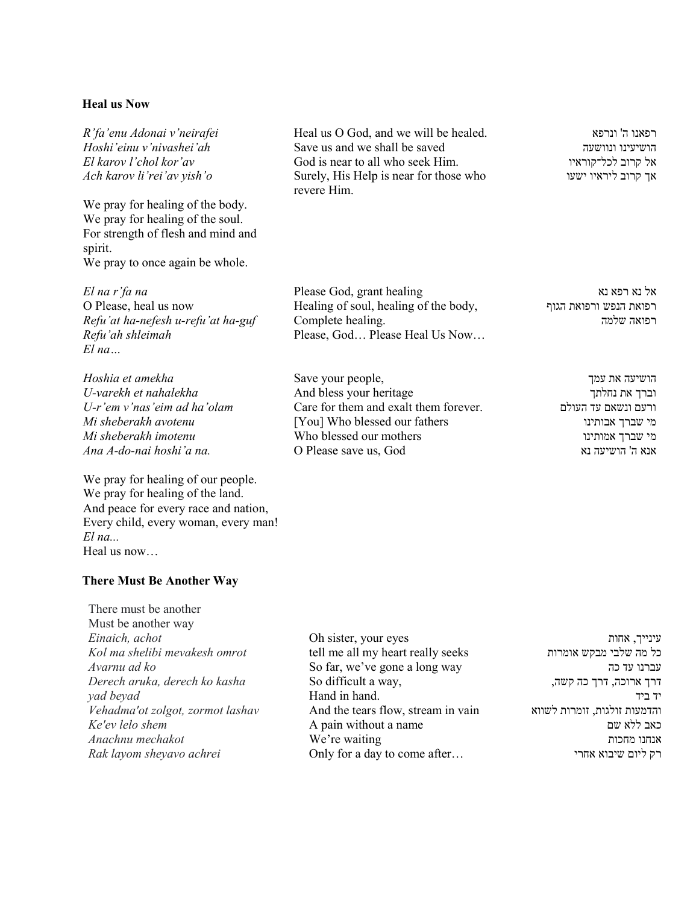#### Heal us Now

R'fa'enu Adonai v'neirafei Hoshi'einu v'nivashei'ah El karov l'chol kor'av Ach karov li'rei'av yish'o

We pray for healing of the body. We pray for healing of the soul. For strength of flesh and mind and spirit. We pray to once again be whole.

El na r'fa na O Please, heal us now Refu'at ha-nefesh u-refu'at ha-guf Refu'ah shleimah El na…

Hoshia et amekha U-varekh et nahalekha U-r'em v'nas'eim ad ha'olam Mi sheberakh avotenu Mi sheberakh imotenu Ana A-do-nai hoshi'a na.

We pray for healing of our people. We pray for healing of the land. And peace for every race and nation, Every child, every woman, every man!  $El$  na $\Box$ Heal us now…

#### There Must Be Another Way

There must be another Must be another way Einaich, achot Kol ma shelibi mevakesh omrot Avarnu ad ko Derech aruka, derech ko kasha yad beyad Vehadma'ot zolgot, zormot lashav Ke'ev lelo shem Anachnu mechakot Rak layom sheyavo achrei

Heal us O God, and we will be healed. Save us and we shall be saved God is near to all who seek Him. Surely, His Help is near for those who revere Him.

Please God, grant healing Healing of soul, healing of the body, Complete healing. Please, God… Please Heal Us Now…

Save your people, And bless your heritage Care for them and exalt them forever. [You] Who blessed our fathers Who blessed our mothers O Please save us, God

רפאנו ה' ונרפא הושיעינו ונוושעה אל קרוב לכל־קוראיו אך קרוב ליראיו ישעו

אל נא רפא נא רפואת הנפש ורפואת הגוף רפואה שלמה

> הושיעה את עמך וברך את נחלתך ורעם ונשאם עד העולם מי שברך אבותינו מי שברך אמותינו אנא ה' הושיעה נא

Oh sister, your eyes tell me all my heart really seeks So far, we've gone a long way So difficult a way, Hand in hand. And the tears flow, stream in vain A pain without a name We're waiting Only for a day to come after…

עינייך, אחות כל מה שלבי מבקש אומרות עברנו עד כה דרך ארוכה, דרך כה קשה, יד ביד והדמעות זולגות, זומרות לשווא כאב ללא שם אנחנו מחכות רק ליום שיבוא אחרי